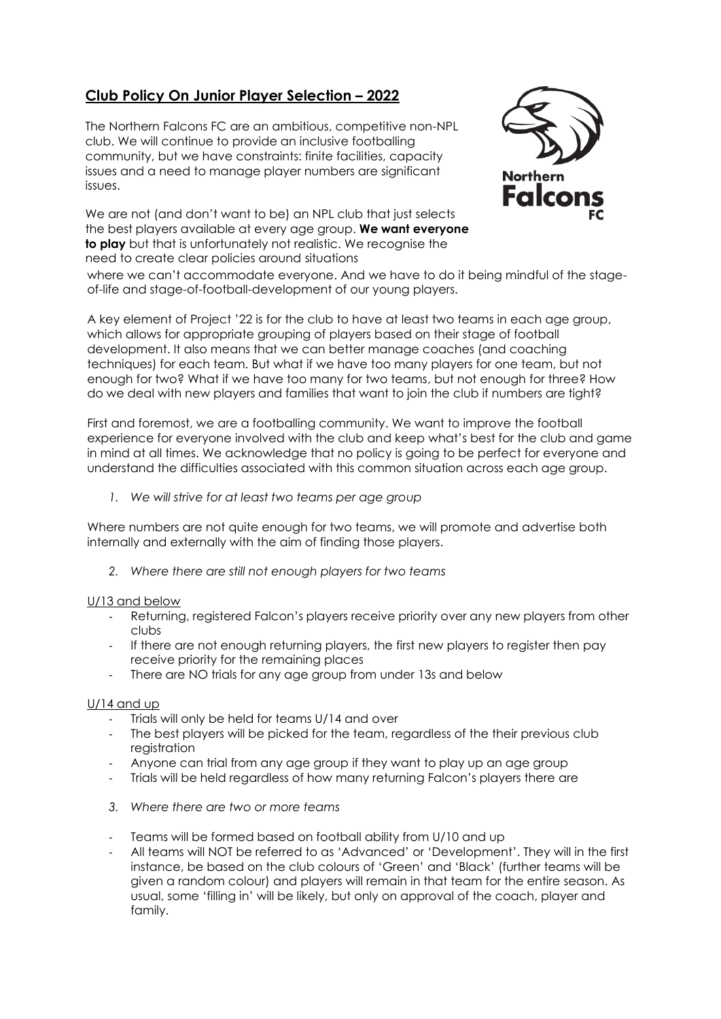# **Club Policy On Junior Player Selection – 2022**

The Northern Falcons FC are an ambitious, competitive non-NPL club. We will continue to provide an inclusive footballing community, but we have constraints: finite facilities, capacity issues and a need to manage player numbers are significant issues.

We are not (and don't want to be) an NPL club that just selects the best players available at every age group. **We want everyone to play** but that is unfortunately not realistic. We recognise the need to create clear policies around situations



where we can't accommodate everyone. And we have to do it being mindful of the stageof-life and stage-of-football-development of our young players.

A key element of Project '22 is for the club to have at least two teams in each age group, which allows for appropriate grouping of players based on their stage of football development. It also means that we can better manage coaches (and coaching techniques) for each team. But what if we have too many players for one team, but not enough for two? What if we have too many for two teams, but not enough for three? How do we deal with new players and families that want to join the club if numbers are tight?

First and foremost, we are a footballing community. We want to improve the football experience for everyone involved with the club and keep what's best for the club and game in mind at all times. We acknowledge that no policy is going to be perfect for everyone and understand the difficulties associated with this common situation across each age group.

*1. We will strive for at least two teams per age group*

Where numbers are not quite enough for two teams, we will promote and advertise both internally and externally with the aim of finding those players.

*2. Where there are still not enough players for two teams*

# U/13 and below

- Returning, registered Falcon's players receive priority over any new players from other clubs
- If there are not enough returning players, the first new players to register then pay receive priority for the remaining places
- There are NO trials for any age group from under 13s and below

# U/14 and up

- Trials will only be held for teams U/14 and over
- The best players will be picked for the team, regardless of the their previous club registration
- Anyone can trial from any age group if they want to play up an age group
- Trials will be held regardless of how many returning Falcon's players there are
- *3. Where there are two or more teams*
- Teams will be formed based on football ability from U/10 and up
- All teams will NOT be referred to as 'Advanced' or 'Development'. They will in the first instance, be based on the club colours of 'Green' and 'Black' (further teams will be given a random colour) and players will remain in that team for the entire season. As usual, some 'filling in' will be likely, but only on approval of the coach, player and family.